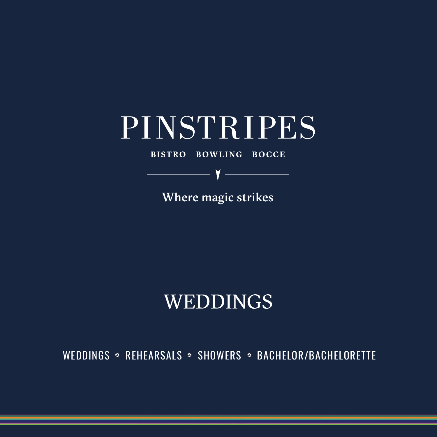# PINSTRIPES

BISTRO BOWLING BOCCE

Where magic strikes

# WEDDINGS

WEDDINGS • REHEARSALS • SHOWERS • BACHELOR/BACHELORETTE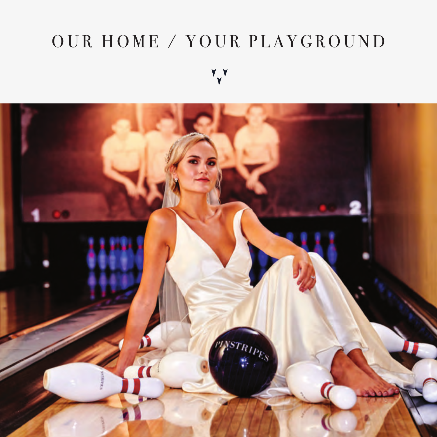# OUR HOME / YOUR PLAYGROUND

 $\mathbf{v}_{\mathbf{v}}^{\mathbf{v}}$ 

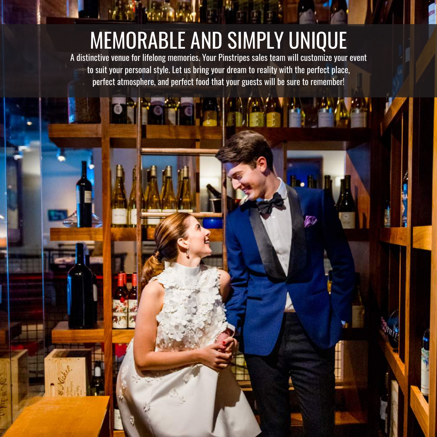# MEMORABLE AND SIMPLY UNIQUE

 $\label{eq:1} \mathcal{H} \left( \mathcal{H} \right) \left( \mathcal{H} \right) \left( \mathcal{H} \right) \left( \mathcal{H} \right) \left( \mathcal{H} \right)$ 

A distinctive venue for lifelong memories. Your Pinstripes sales team will customize your event to suit your personal style. Let us bring your dream to reality with the perfect place, perfect atmosphere, and perfect food that your guests will be sure to remember!

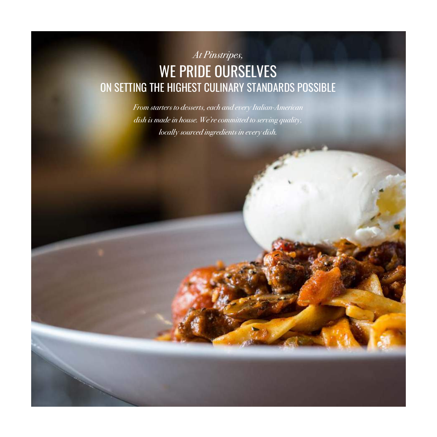# *At Pinstripes,* WE PRIDE OURSELVES ON SETTING THE HIGHEST CULINARY STANDARDS POSSIBLE

*From starters to desserts, each and every Italian-American dish is made in house. We're committed to serving quality, locally sourced ingredients in every dish.*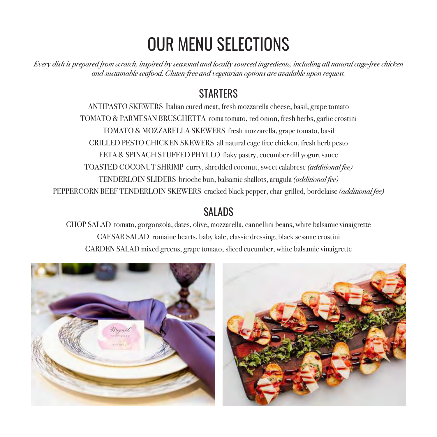# OUR MENU SELECTIONS

*Every dish is prepared from scratch, inspired by seasonal and locally sourced ingredients, including all natural cage-free chicken and sustainable seafood. Gluten-free and vegetarian options are available upon request.*

#### **STARTERS**

ANTIPASTO SKEWERS Italian cured meat, fresh mozzarella cheese, basil, grape tomato TOMATO & PARMESAN BRUSCHETTA roma tomato, red onion, fresh herbs, garlic crostini TOMATO & MOZZARELLA SKEWERS fresh mozzarella, grape tomato, basil GRILLED PESTO CHICKEN SKEWERS all natural cage free chicken, fresh herb pesto FETA & SPINACH STUFFED PHYLLO flaky pastry, cucumber dill yogurt sauce TOASTED COCONUT SHRIMP curry, shredded coconut, sweet calabrese *(additional fee)* TENDERLOIN SLIDERS brioche bun, balsamic shallots, arugula *(additional fee)* PEPPERCORN BEEF TENDERLOIN SKEWERS cracked black pepper, char-grilled, bordelaise *(additional fee)*

#### SALADS

CHOP SALAD tomato, gorgonzola, dates, olive, mozzarella, cannellini beans, white balsamic vinaigrette CAESAR SALAD romaine hearts, baby kale, classic dressing, black sesame crostini GARDEN SALAD mixed greens, grape tomato, sliced cucumber, white balsamic vinaigrette

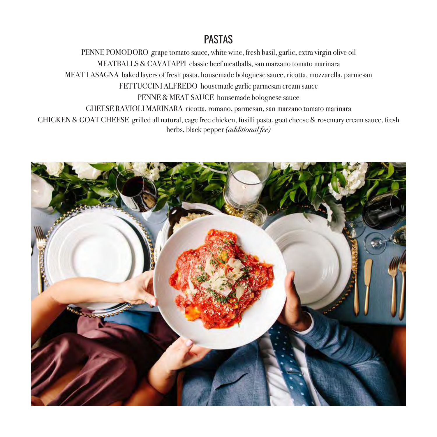### PASTAS

PENNE POMODORO grape tomato sauce, white wine, fresh basil, garlic, extra virgin olive oil MEATBALLS & CAVATAPPI classic beef meatballs, san marzano tomato marinara MEAT LASAGNA baked layers of fresh pasta, housemade bolognese sauce, ricotta, mozzarella, parmesan FETTUCCINI ALFREDO housemade garlic parmesan cream sauce PENNE & MEAT SAUCE housemade bolognese sauce CHEESE RAVIOLI MARINARA ricotta, romano, parmesan, san marzano tomato marinara CHICKEN & GOAT CHEESE grilled all natural, cage free chicken, fusilli pasta, goat cheese & rosemary cream sauce, fresh herbs, black pepper *(additional fee)*

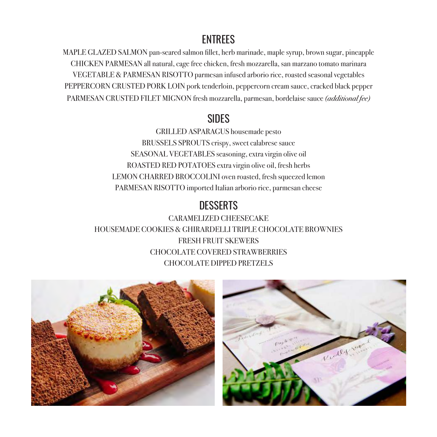#### ENTREES

MAPLE GLAZED SALMON pan-seared salmon fillet, herb marinade, maple syrup, brown sugar, pineapple CHICKEN PARMESAN all natural, cage free chicken, fresh mozzarella, san marzano tomato marinara VEGETABLE & PARMESAN RISOTTO parmesan infused arborio rice, roasted seasonal vegetables PEPPERCORN CRUSTED PORK LOIN pork tenderloin, peppercorn cream sauce, cracked black pepper PARMESAN CRUSTED FILET MIGNON fresh mozzarella, parmesan, bordelaise sauce *(additional fee)*

#### SIDES

GRILLED ASPARAGUS housemade pesto BRUSSELS SPROUTS crispy, sweet calabrese sauce SEASONAL VEGETABLES seasoning, extra virgin olive oil ROASTED RED POTATOES extra virgin olive oil, fresh herbs LEMON CHARRED BROCCOLINI oven roasted, fresh squeezed lemon PARMESAN RISOTTO imported Italian arborio rice, parmesan cheese

### **DESSERTS**

CARAMELIZED CHEESECAKE HOUSEMADE COOKIES & GHIRARDELLI TRIPLE CHOCOLATE BROWNIES FRESH FRUIT SKEWERS CHOCOLATE COVERED STRAWBERRIES CHOCOLATE DIPPED PRETZELS



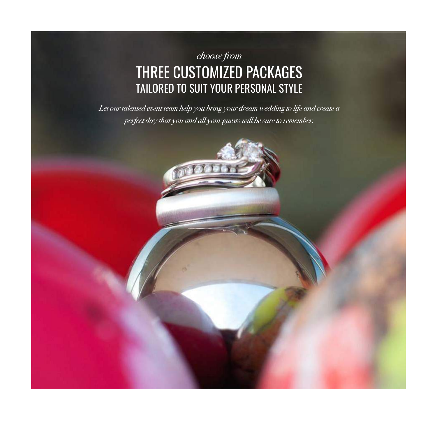# *choose from* THREE CUSTOMIZED PACKAGES TAILORED TO SUIT YOUR PERSONAL STYLE

*Let our talented event team help you bring your dream wedding to life and create a perfect day that you and all your guests will be sure to remember.*

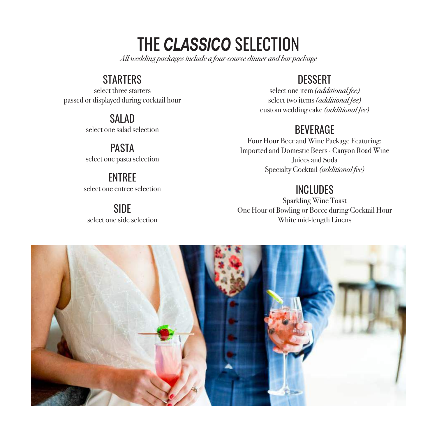# THE *CLASSICO* SELECTION

*All wedding packages include a four-course dinner and bar package*

### **STARTERS**

select three starters passed or displayed during cocktail hour

#### SALAD

select one salad selection

# PASTA

select one pasta selection

#### **FNTRFF** select one entree selection

#### SIDE select one side selection

### DESSERT

select one item *(additional fee)* select two items *(additional fee)* custom wedding cake *(additional fee)*

# BEVERAGE

Four Hour Beer and Wine Package Featuring: Imported and Domestic Beers · Canyon Road Wine Juices and Soda Specialty Cocktail *(additional fee)*

# INCLUDES

Sparkling Wine Toast One Hour of Bowling or Bocce during Cocktail Hour White mid-length Linens

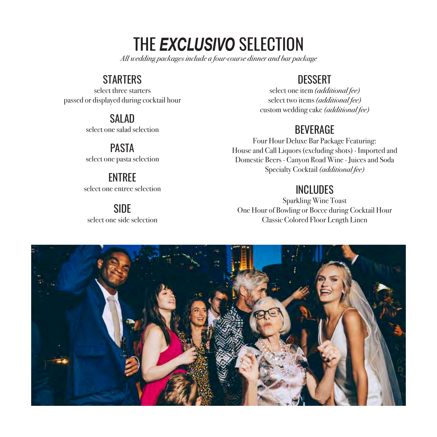# THE *EXCLUSIVO* SELECTION

*All wedding packages include a four-course dinner and bar package*

### **STARTERS**

select three starters passed or displayed during cocktail hour

#### SALAD

select one salad selection

### PASTA

select one pasta selection

#### **FNTRFF** select one entree selection

SIDE select one side selection

# DESSERT

select one item *(additional fee)* select two items *(additional fee)* custom wedding cake *(additional fee)*

# BEVERAGE

Four Hour Deluxe Bar Package Featuring: House and Call Liquors (excluding shots) · Imported and Domestic Beers · Canyon Road Wine · Juices and Soda Specialty Cocktail *(additional fee)*

# INCLUDES

Sparkling Wine Toast One Hour of Bowling or Bocce during Cocktail Hour Classic Colored Floor Length Linen

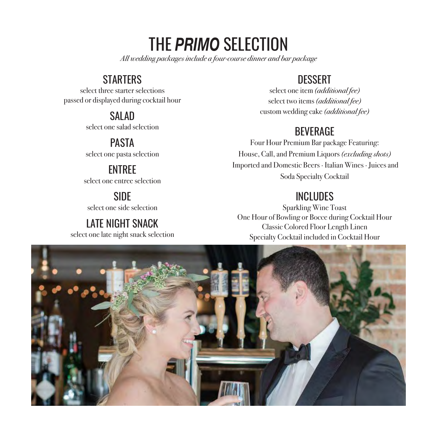# THE *PRIMO* SELECTION

*All wedding packages include a four-course dinner and bar package*

### **STARTERS**

select three starter selections passed or displayed during cocktail hour

#### SALAD

select one salad selection

### PASTA

select one pasta selection

### ENTREE

select one entree selection

# SIDE

select one side selection

# LATE NIGHT SNACK

select one late night snack selection

### **DESSERT**

select one item *(additional fee)* select two items *(additional fee)* custom wedding cake *(additional fee)*

# BEVERAGE

Four Hour Premium Bar package Featuring: House, Call, and Premium Liquors *(excluding shots)* Imported and Domestic Beers · Italian Wines · Juices and Soda Specialty Cocktail

# **INCLUDES**

Sparkling Wine Toast One Hour of Bowling or Bocce during Cocktail Hour Classic Colored Floor Length Linen Specialty Cocktail included in Cocktail Hour

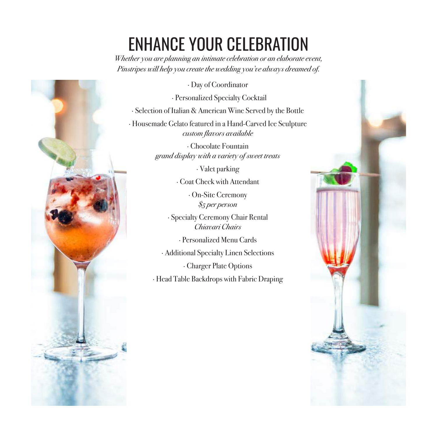# ENHANCE YOUR CELEBRATION

*Whether you are planning an intimate celebration or an elaborate event, Pinstripes will help you create the wedding you've always dreamed of.*

· Day of Coordinator

 · Personalized Specialty Cocktail · Selection of Italian & American Wine Served by the Bottle · Housemade Gelato featured in a Hand-Carved Ice Sculpture

*custom flavors available*

· Chocolate Fountain *grand display with a variety of sweet treats*

· Valet parking

· Coat Check with Attendant

· On-Site Ceremony *\$5 per person*

· Specialty Ceremony Chair Rental *Chiavari Chairs*

· Personalized Menu Cards

· Additional Specialty Linen Selections

· Charger Plate Options

· Head Table Backdrops with Fabric Draping



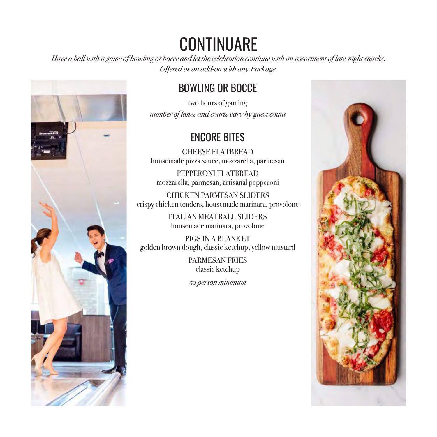# **CONTINUARE**

*Have a ball with a game of bowling or bocce and let the celebration continue with an assortment of late-night snacks. Offered as an add-on with any Package.*



#### BOWLING OR BOCCE

two hours of gaming *number of lanes and courts vary by guest count*

# ENCORE BITES

CHEESE FLATBREAD housemade pizza sauce, mozzarella, parmesan

PEPPERONI FLATBREAD mozzarella, parmesan, artisanal pepperoni

CHICKEN PARMESAN SLIDERS crispy chicken tenders, housemade marinara, provolone

> ITALIAN MEATBALL SLIDERS housemade marinara, provolone

PIGS IN A BLANKET golden brown dough, classic ketchup, yellow mustard

> PARMESAN FRIES classic ketchup

*50 person minimum*

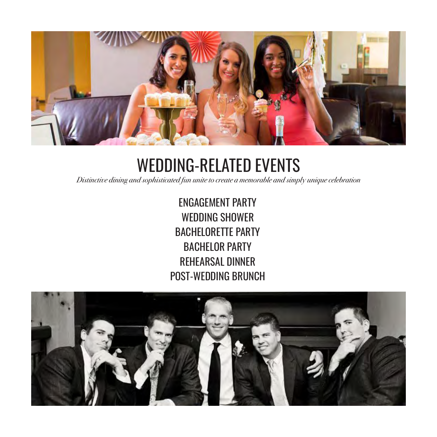

# WEDDING-RELATED EVENTS

*Distinctive dining and sophisticated fun unite to create a memorable and simply unique celebration*

ENGAGEMENT PARTY WEDDING SHOWER BACHELORETTE PARTY BACHELOR PARTY REHEARSAL DINNER POST-WEDDING BRUNCH

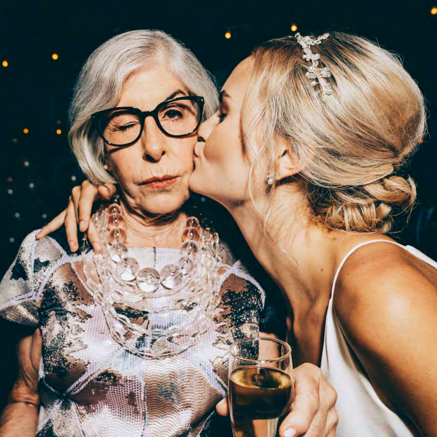